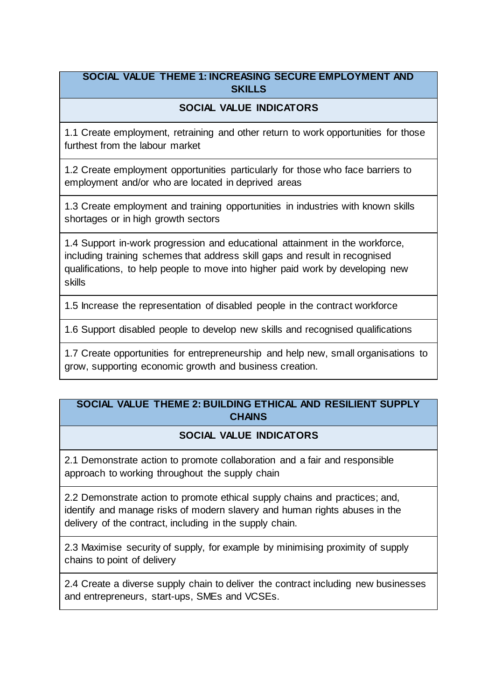## **SOCIAL VALUE THEME 1: INCREASING SECURE EMPLOYMENT AND SKILLS**

# **SOCIAL VALUE INDICATORS**

1.1 Create employment, retraining and other return to work opportunities for those furthest from the labour market

1.2 Create employment opportunities particularly for those who face barriers to employment and/or who are located in deprived areas

1.3 Create employment and training opportunities in industries with known skills shortages or in high growth sectors

1.4 Support in-work progression and educational attainment in the workforce, including training schemes that address skill gaps and result in recognised qualifications, to help people to move into higher paid work by developing new skills

1.5 Increase the representation of disabled people in the contract workforce

1.6 Support disabled people to develop new skills and recognised qualifications

1.7 Create opportunities for entrepreneurship and help new, small organisations to grow, supporting economic growth and business creation.

## **SOCIAL VALUE THEME 2: BUILDING ETHICAL AND RESILIENT SUPPLY CHAINS**

#### **SOCIAL VALUE INDICATORS**

2.1 Demonstrate action to promote collaboration and a fair and responsible approach to working throughout the supply chain

2.2 Demonstrate action to promote ethical supply chains and practices; and, identify and manage risks of modern slavery and human rights abuses in the delivery of the contract, including in the supply chain.

2.3 Maximise security of supply, for example by minimising proximity of supply chains to point of delivery

2.4 Create a diverse supply chain to deliver the contract including new businesses and entrepreneurs, start-ups, SMEs and VCSEs.